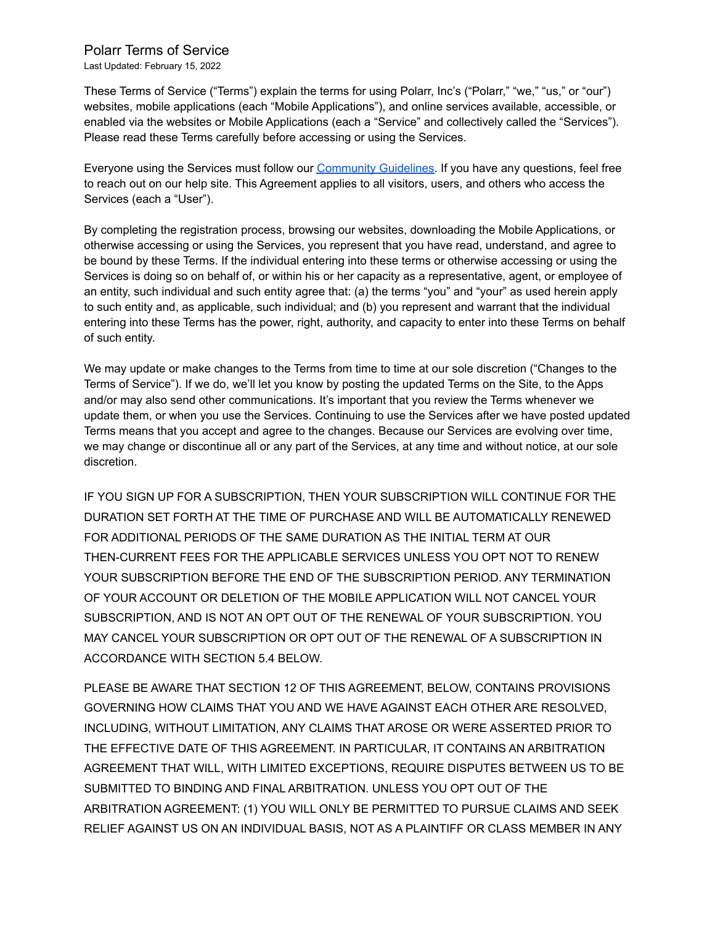#### Polarr Terms of Service

Last Updated: February 15, 2022

These Terms of Service ("Terms") explain the terms for using Polarr, Inc's ("Polarr," "we," "us," or "our") websites, mobile applications (each "Mobile Applications"), and online services available, accessible, or enabled via the websites or Mobile Applications (each a "Service" and collectively called the "Services"). Please read these Terms carefully before accessing or using the Services.

Everyone using the Services must follow our [Community](https://www.polarr.com/policy/community_guidelines) Guidelines. If you have any questions, feel free to reach out on our help site. This Agreement applies to all visitors, users, and others who access the Services (each a "User").

By completing the registration process, browsing our websites, downloading the Mobile Applications, or otherwise accessing or using the Services, you represent that you have read, understand, and agree to be bound by these Terms. If the individual entering into these terms or otherwise accessing or using the Services is doing so on behalf of, or within his or her capacity as a representative, agent, or employee of an entity, such individual and such entity agree that: (a) the terms "you" and "your" as used herein apply to such entity and, as applicable, such individual; and (b) you represent and warrant that the individual entering into these Terms has the power, right, authority, and capacity to enter into these Terms on behalf of such entity.

We may update or make changes to the Terms from time to time at our sole discretion ("Changes to the Terms of Service"). If we do, we'll let you know by posting the updated Terms on the Site, to the Apps and/or may also send other communications. It's important that you review the Terms whenever we update them, or when you use the Services. Continuing to use the Services after we have posted updated Terms means that you accept and agree to the changes. Because our Services are evolving over time, we may change or discontinue all or any part of the Services, at any time and without notice, at our sole discretion.

IF YOU SIGN UP FOR A SUBSCRIPTION, THEN YOUR SUBSCRIPTION WILL CONTINUE FOR THE DURATION SET FORTH AT THE TIME OF PURCHASE AND WILL BE AUTOMATICALLY RENEWED FOR ADDITIONAL PERIODS OF THE SAME DURATION AS THE INITIAL TERM AT OUR THEN-CURRENT FEES FOR THE APPLICABLE SERVICES UNLESS YOU OPT NOT TO RENEW YOUR SUBSCRIPTION BEFORE THE END OF THE SUBSCRIPTION PERIOD. ANY TERMINATION OF YOUR ACCOUNT OR DELETION OF THE MOBILE APPLICATION WILL NOT CANCEL YOUR SUBSCRIPTION, AND IS NOT AN OPT OUT OF THE RENEWAL OF YOUR SUBSCRIPTION. YOU MAY CANCEL YOUR SUBSCRIPTION OR OPT OUT OF THE RENEWAL OF A SUBSCRIPTION IN ACCORDANCE WITH SECTION 5.4 BELOW.

PLEASE BE AWARE THAT SECTION 12 OF THIS AGREEMENT, BELOW, CONTAINS PROVISIONS GOVERNING HOW CLAIMS THAT YOU AND WE HAVE AGAINST EACH OTHER ARE RESOLVED, INCLUDING, WITHOUT LIMITATION, ANY CLAIMS THAT AROSE OR WERE ASSERTED PRIOR TO THE EFFECTIVE DATE OF THIS AGREEMENT. IN PARTICULAR, IT CONTAINS AN ARBITRATION AGREEMENT THAT WILL, WITH LIMITED EXCEPTIONS, REQUIRE DISPUTES BETWEEN US TO BE SUBMITTED TO BINDING AND FINAL ARBITRATION. UNLESS YOU OPT OUT OF THE ARBITRATION AGREEMENT: (1) YOU WILL ONLY BE PERMITTED TO PURSUE CLAIMS AND SEEK RELIEF AGAINST US ON AN INDIVIDUAL BASIS, NOT AS A PLAINTIFF OR CLASS MEMBER IN ANY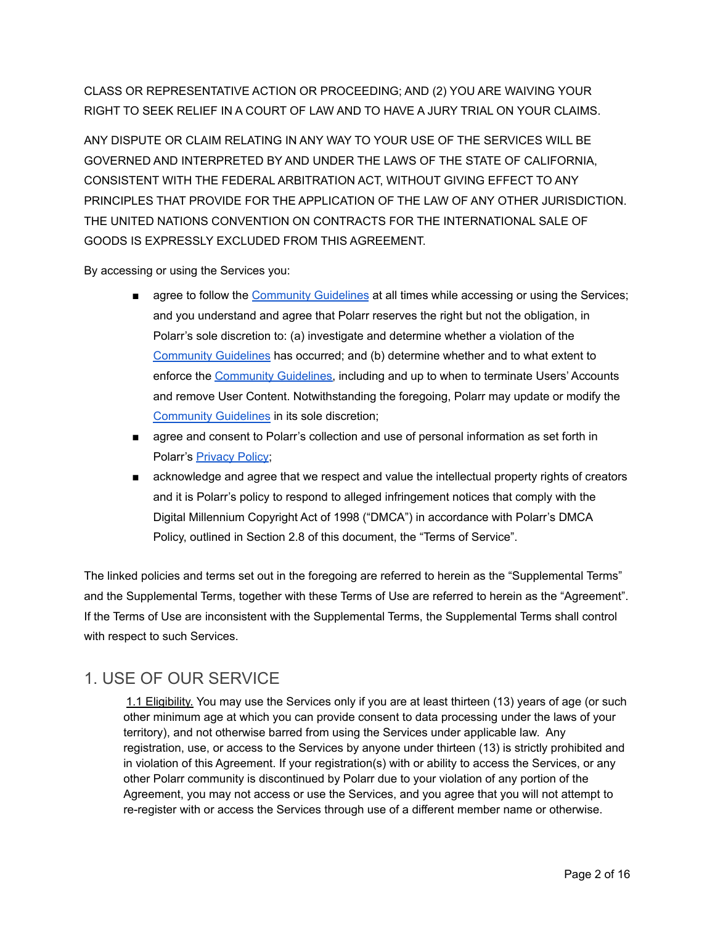CLASS OR REPRESENTATIVE ACTION OR PROCEEDING; AND (2) YOU ARE WAIVING YOUR RIGHT TO SEEK RELIEF IN A COURT OF LAW AND TO HAVE A JURY TRIAL ON YOUR CLAIMS.

ANY DISPUTE OR CLAIM RELATING IN ANY WAY TO YOUR USE OF THE SERVICES WILL BE GOVERNED AND INTERPRETED BY AND UNDER THE LAWS OF THE STATE OF CALIFORNIA, CONSISTENT WITH THE FEDERAL ARBITRATION ACT, WITHOUT GIVING EFFECT TO ANY PRINCIPLES THAT PROVIDE FOR THE APPLICATION OF THE LAW OF ANY OTHER JURISDICTION. THE UNITED NATIONS CONVENTION ON CONTRACTS FOR THE INTERNATIONAL SALE OF GOODS IS EXPRESSLY EXCLUDED FROM THIS AGREEMENT.

By accessing or using the Services you:

- agree to follow the [Community](https://www.polarr.com/policy/community_guidelines) Guidelines at all times while accessing or using the Services; and you understand and agree that Polarr reserves the right but not the obligation, in Polarr's sole discretion to: (a) investigate and determine whether a violation of the [Community](https://www.polarr.com/policy/community_guidelines) Guidelines has occurred; and (b) determine whether and to what extent to enforce the [Community](https://www.polarr.com/policy/community_guidelines) Guidelines, including and up to when to terminate Users' Accounts and remove User Content. Notwithstanding the foregoing, Polarr may update or modify the [Community](https://www.polarr.com/policy/community_guidelines) Guidelines in its sole discretion;
- agree and consent to Polarr's collection and use of personal information as set forth in Polarr's [Privacy](https://www.polarr.com/policy/privacy) Policy;
- acknowledge and agree that we respect and value the intellectual property rights of creators and it is Polarr's policy to respond to alleged infringement notices that comply with the Digital Millennium Copyright Act of 1998 ("DMCA") in accordance with Polarr's DMCA Policy, outlined in Section 2.8 of this document, the "Terms of Service".

The linked policies and terms set out in the foregoing are referred to herein as the "Supplemental Terms" and the Supplemental Terms, together with these Terms of Use are referred to herein as the "Agreement". If the Terms of Use are inconsistent with the Supplemental Terms, the Supplemental Terms shall control with respect to such Services.

# 1. USE OF OUR SERVICE

1.1 Eligibility. You may use the Services only if you are at least thirteen (13) years of age (or such other minimum age at which you can provide consent to data processing under the laws of your territory), and not otherwise barred from using the Services under applicable law. Any registration, use, or access to the Services by anyone under thirteen (13) is strictly prohibited and in violation of this Agreement. If your registration(s) with or ability to access the Services, or any other Polarr community is discontinued by Polarr due to your violation of any portion of the Agreement, you may not access or use the Services, and you agree that you will not attempt to re-register with or access the Services through use of a different member name or otherwise.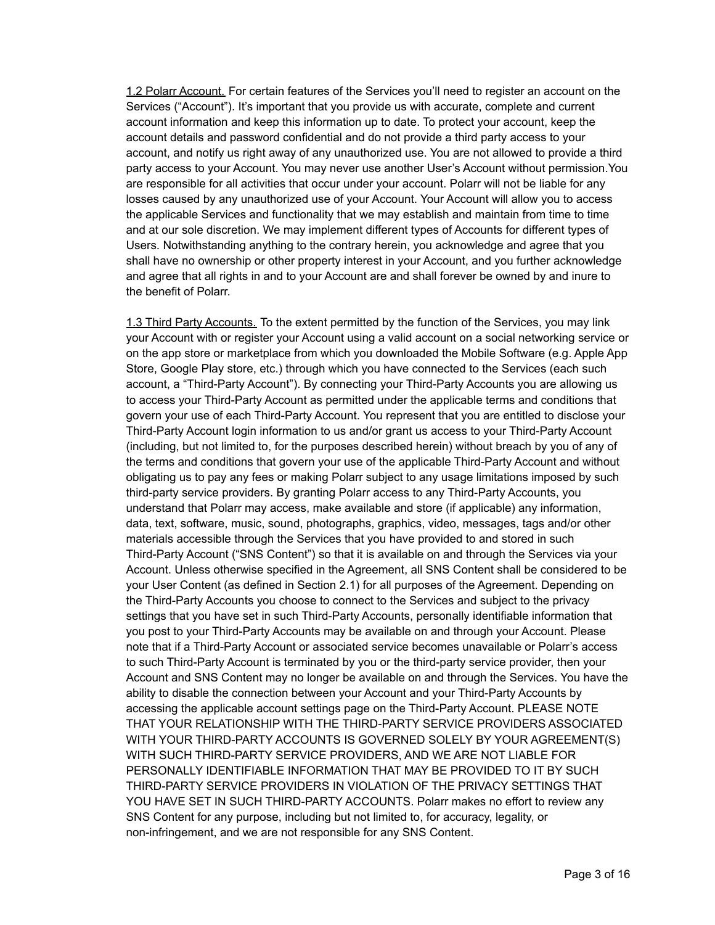1.2 Polarr Account. For certain features of the Services you'll need to register an account on the Services ("Account"). It's important that you provide us with accurate, complete and current account information and keep this information up to date. To protect your account, keep the account details and password confidential and do not provide a third party access to your account, and notify us right away of any unauthorized use. You are not allowed to provide a third party access to your Account. You may never use another User's Account without permission.You are responsible for all activities that occur under your account. Polarr will not be liable for any losses caused by any unauthorized use of your Account. Your Account will allow you to access the applicable Services and functionality that we may establish and maintain from time to time and at our sole discretion. We may implement different types of Accounts for different types of Users. Notwithstanding anything to the contrary herein, you acknowledge and agree that you shall have no ownership or other property interest in your Account, and you further acknowledge and agree that all rights in and to your Account are and shall forever be owned by and inure to the benefit of Polarr.

1.3 Third Party Accounts. To the extent permitted by the function of the Services, you may link your Account with or register your Account using a valid account on a social networking service or on the app store or marketplace from which you downloaded the Mobile Software (e.g. Apple App Store, Google Play store, etc.) through which you have connected to the Services (each such account, a "Third-Party Account"). By connecting your Third-Party Accounts you are allowing us to access your Third-Party Account as permitted under the applicable terms and conditions that govern your use of each Third-Party Account. You represent that you are entitled to disclose your Third-Party Account login information to us and/or grant us access to your Third-Party Account (including, but not limited to, for the purposes described herein) without breach by you of any of the terms and conditions that govern your use of the applicable Third-Party Account and without obligating us to pay any fees or making Polarr subject to any usage limitations imposed by such third-party service providers. By granting Polarr access to any Third-Party Accounts, you understand that Polarr may access, make available and store (if applicable) any information, data, text, software, music, sound, photographs, graphics, video, messages, tags and/or other materials accessible through the Services that you have provided to and stored in such Third-Party Account ("SNS Content") so that it is available on and through the Services via your Account. Unless otherwise specified in the Agreement, all SNS Content shall be considered to be your User Content (as defined in Section 2.1) for all purposes of the Agreement. Depending on the Third-Party Accounts you choose to connect to the Services and subject to the privacy settings that you have set in such Third-Party Accounts, personally identifiable information that you post to your Third-Party Accounts may be available on and through your Account. Please note that if a Third-Party Account or associated service becomes unavailable or Polarr's access to such Third-Party Account is terminated by you or the third-party service provider, then your Account and SNS Content may no longer be available on and through the Services. You have the ability to disable the connection between your Account and your Third-Party Accounts by accessing the applicable account settings page on the Third-Party Account. PLEASE NOTE THAT YOUR RELATIONSHIP WITH THE THIRD-PARTY SERVICE PROVIDERS ASSOCIATED WITH YOUR THIRD-PARTY ACCOUNTS IS GOVERNED SOLELY BY YOUR AGREEMENT(S) WITH SUCH THIRD-PARTY SERVICE PROVIDERS, AND WE ARE NOT LIABLE FOR PERSONALLY IDENTIFIABLE INFORMATION THAT MAY BE PROVIDED TO IT BY SUCH THIRD-PARTY SERVICE PROVIDERS IN VIOLATION OF THE PRIVACY SETTINGS THAT YOU HAVE SET IN SUCH THIRD-PARTY ACCOUNTS. Polarr makes no effort to review any SNS Content for any purpose, including but not limited to, for accuracy, legality, or non-infringement, and we are not responsible for any SNS Content.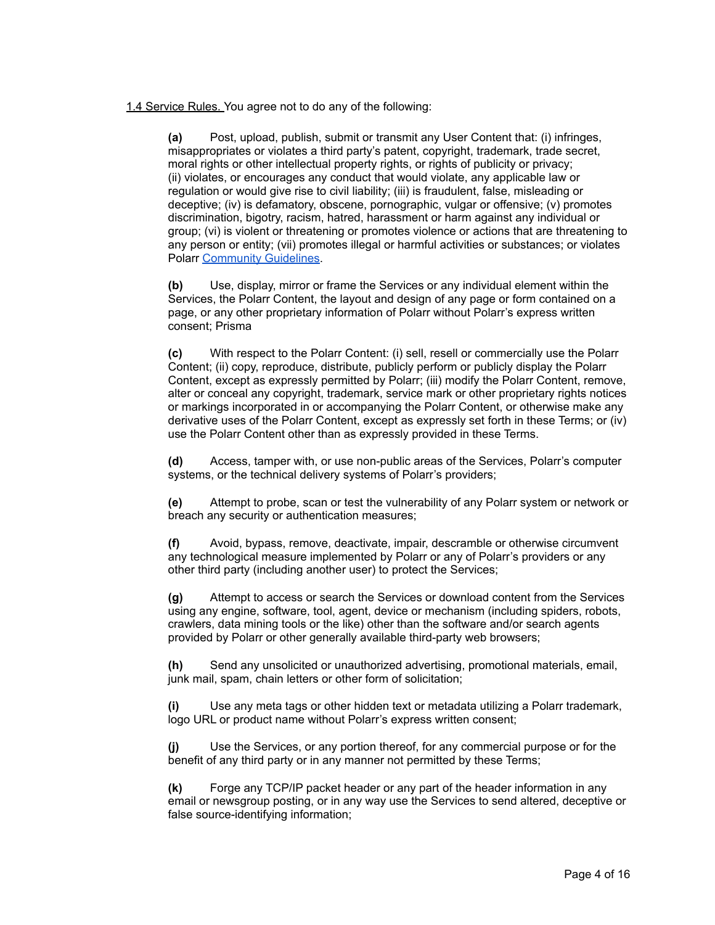1.4 Service Rules. You agree not to do any of the following:

**(a)** Post, upload, publish, submit or transmit any User Content that: (i) infringes, misappropriates or violates a third party's patent, copyright, trademark, trade secret, moral rights or other intellectual property rights, or rights of publicity or privacy; (ii) violates, or encourages any conduct that would violate, any applicable law or regulation or would give rise to civil liability; (iii) is fraudulent, false, misleading or deceptive; (iv) is defamatory, obscene, pornographic, vulgar or offensive; (v) promotes discrimination, bigotry, racism, hatred, harassment or harm against any individual or group; (vi) is violent or threatening or promotes violence or actions that are threatening to any person or entity; (vii) promotes illegal or harmful activities or substances; or violates Polarr [Community](https://www.polarr.com/policy/community_guidelines) Guidelines.

**(b)** Use, display, mirror or frame the Services or any individual element within the Services, the Polarr Content, the layout and design of any page or form contained on a page, or any other proprietary information of Polarr without Polarr's express written consent; Prisma

**(c)** With respect to the Polarr Content: (i) sell, resell or commercially use the Polarr Content; (ii) copy, reproduce, distribute, publicly perform or publicly display the Polarr Content, except as expressly permitted by Polarr; (iii) modify the Polarr Content, remove, alter or conceal any copyright, trademark, service mark or other proprietary rights notices or markings incorporated in or accompanying the Polarr Content, or otherwise make any derivative uses of the Polarr Content, except as expressly set forth in these Terms; or (iv) use the Polarr Content other than as expressly provided in these Terms.

**(d)** Access, tamper with, or use non-public areas of the Services, Polarr's computer systems, or the technical delivery systems of Polarr's providers;

**(e)** Attempt to probe, scan or test the vulnerability of any Polarr system or network or breach any security or authentication measures;

**(f)** Avoid, bypass, remove, deactivate, impair, descramble or otherwise circumvent any technological measure implemented by Polarr or any of Polarr's providers or any other third party (including another user) to protect the Services;

**(g)** Attempt to access or search the Services or download content from the Services using any engine, software, tool, agent, device or mechanism (including spiders, robots, crawlers, data mining tools or the like) other than the software and/or search agents provided by Polarr or other generally available third-party web browsers;

**(h)** Send any unsolicited or unauthorized advertising, promotional materials, email, junk mail, spam, chain letters or other form of solicitation;

**(i)** Use any meta tags or other hidden text or metadata utilizing a Polarr trademark, logo URL or product name without Polarr's express written consent;

**(j)** Use the Services, or any portion thereof, for any commercial purpose or for the benefit of any third party or in any manner not permitted by these Terms;

**(k)** Forge any TCP/IP packet header or any part of the header information in any email or newsgroup posting, or in any way use the Services to send altered, deceptive or false source-identifying information;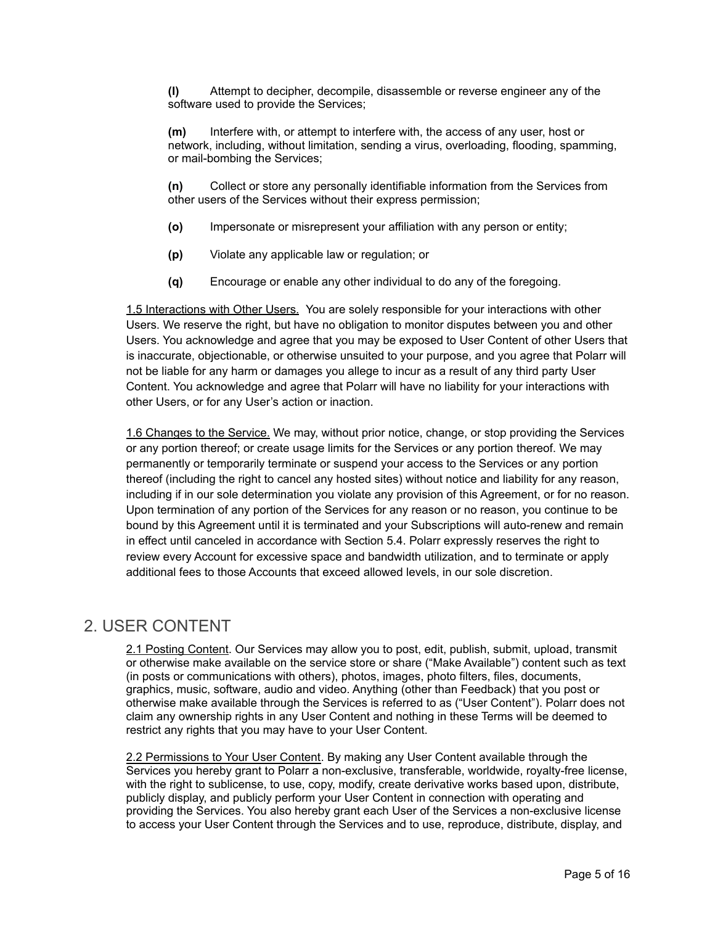**(l)** Attempt to decipher, decompile, disassemble or reverse engineer any of the software used to provide the Services;

**(m)** Interfere with, or attempt to interfere with, the access of any user, host or network, including, without limitation, sending a virus, overloading, flooding, spamming, or mail-bombing the Services;

**(n)** Collect or store any personally identifiable information from the Services from other users of the Services without their express permission;

- **(o)** Impersonate or misrepresent your affiliation with any person or entity;
- **(p)** Violate any applicable law or regulation; or
- **(q)** Encourage or enable any other individual to do any of the foregoing.

1.5 Interactions with Other Users. You are solely responsible for your interactions with other Users. We reserve the right, but have no obligation to monitor disputes between you and other Users. You acknowledge and agree that you may be exposed to User Content of other Users that is inaccurate, objectionable, or otherwise unsuited to your purpose, and you agree that Polarr will not be liable for any harm or damages you allege to incur as a result of any third party User Content. You acknowledge and agree that Polarr will have no liability for your interactions with other Users, or for any User's action or inaction.

1.6 Changes to the Service. We may, without prior notice, change, or stop providing the Services or any portion thereof; or create usage limits for the Services or any portion thereof. We may permanently or temporarily terminate or suspend your access to the Services or any portion thereof (including the right to cancel any hosted sites) without notice and liability for any reason, including if in our sole determination you violate any provision of this Agreement, or for no reason. Upon termination of any portion of the Services for any reason or no reason, you continue to be bound by this Agreement until it is terminated and your Subscriptions will auto-renew and remain in effect until canceled in accordance with Section 5.4. Polarr expressly reserves the right to review every Account for excessive space and bandwidth utilization, and to terminate or apply additional fees to those Accounts that exceed allowed levels, in our sole discretion.

#### 2. USER CONTENT

2.1 Posting Content. Our Services may allow you to post, edit, publish, submit, upload, transmit or otherwise make available on the service store or share ("Make Available") content such as text (in posts or communications with others), photos, images, photo filters, files, documents, graphics, music, software, audio and video. Anything (other than Feedback) that you post or otherwise make available through the Services is referred to as ("User Content"). Polarr does not claim any ownership rights in any User Content and nothing in these Terms will be deemed to restrict any rights that you may have to your User Content.

2.2 Permissions to Your User Content. By making any User Content available through the Services you hereby grant to Polarr a non-exclusive, transferable, worldwide, royalty-free license, with the right to sublicense, to use, copy, modify, create derivative works based upon, distribute, publicly display, and publicly perform your User Content in connection with operating and providing the Services. You also hereby grant each User of the Services a non-exclusive license to access your User Content through the Services and to use, reproduce, distribute, display, and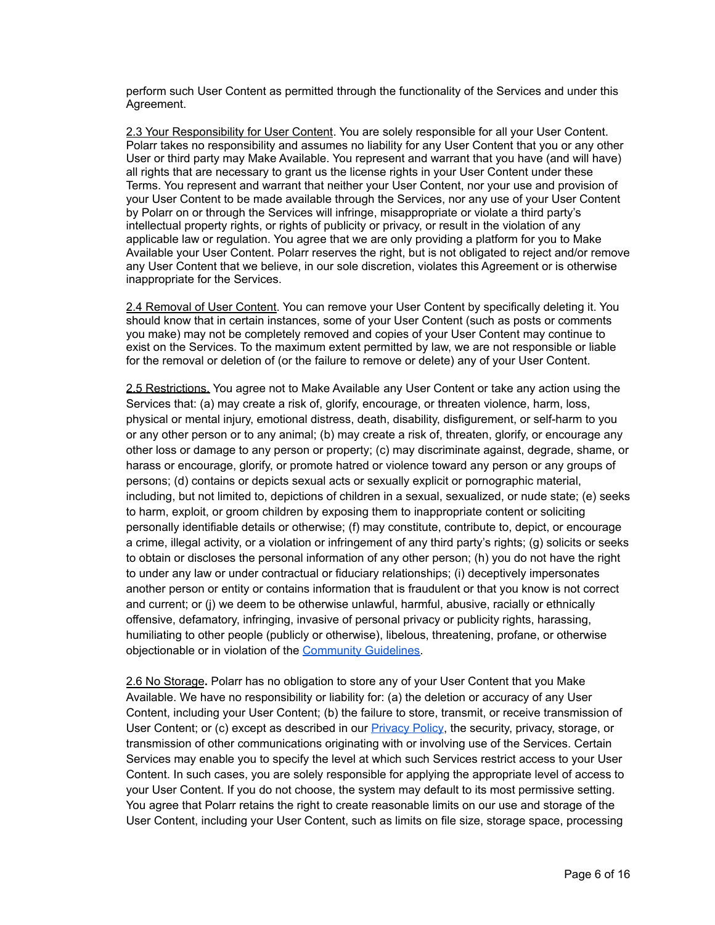perform such User Content as permitted through the functionality of the Services and under this Agreement.

2.3 Your Responsibility for User Content. You are solely responsible for all your User Content. Polarr takes no responsibility and assumes no liability for any User Content that you or any other User or third party may Make Available. You represent and warrant that you have (and will have) all rights that are necessary to grant us the license rights in your User Content under these Terms. You represent and warrant that neither your User Content, nor your use and provision of your User Content to be made available through the Services, nor any use of your User Content by Polarr on or through the Services will infringe, misappropriate or violate a third party's intellectual property rights, or rights of publicity or privacy, or result in the violation of any applicable law or regulation. You agree that we are only providing a platform for you to Make Available your User Content. Polarr reserves the right, but is not obligated to reject and/or remove any User Content that we believe, in our sole discretion, violates this Agreement or is otherwise inappropriate for the Services.

2.4 Removal of User Content. You can remove your User Content by specifically deleting it. You should know that in certain instances, some of your User Content (such as posts or comments you make) may not be completely removed and copies of your User Content may continue to exist on the Services. To the maximum extent permitted by law, we are not responsible or liable for the removal or deletion of (or the failure to remove or delete) any of your User Content.

2.5 Restrictions. You agree not to Make Available any User Content or take any action using the Services that: (a) may create a risk of, glorify, encourage, or threaten violence, harm, loss, physical or mental injury, emotional distress, death, disability, disfigurement, or self-harm to you or any other person or to any animal; (b) may create a risk of, threaten, glorify, or encourage any other loss or damage to any person or property; (c) may discriminate against, degrade, shame, or harass or encourage, glorify, or promote hatred or violence toward any person or any groups of persons; (d) contains or depicts sexual acts or sexually explicit or pornographic material, including, but not limited to, depictions of children in a sexual, sexualized, or nude state; (e) seeks to harm, exploit, or groom children by exposing them to inappropriate content or soliciting personally identifiable details or otherwise; (f) may constitute, contribute to, depict, or encourage a crime, illegal activity, or a violation or infringement of any third party's rights; (g) solicits or seeks to obtain or discloses the personal information of any other person; (h) you do not have the right to under any law or under contractual or fiduciary relationships; (i) deceptively impersonates another person or entity or contains information that is fraudulent or that you know is not correct and current; or (j) we deem to be otherwise unlawful, harmful, abusive, racially or ethnically offensive, defamatory, infringing, invasive of personal privacy or publicity rights, harassing, humiliating to other people (publicly or otherwise), libelous, threatening, profane, or otherwise objectionable or in violation of the [Community](https://www.polarr.com/policy/community_guidelines) Guidelines.

2.6 No Storage**.** Polarr has no obligation to store any of your User Content that you Make Available. We have no responsibility or liability for: (a) the deletion or accuracy of any User Content, including your User Content; (b) the failure to store, transmit, or receive transmission of User Content; or (c) except as described in our **[Privacy](https://www.polarr.com/policy/privacy) Policy**, the security, privacy, storage, or transmission of other communications originating with or involving use of the Services. Certain Services may enable you to specify the level at which such Services restrict access to your User Content. In such cases, you are solely responsible for applying the appropriate level of access to your User Content. If you do not choose, the system may default to its most permissive setting. You agree that Polarr retains the right to create reasonable limits on our use and storage of the User Content, including your User Content, such as limits on file size, storage space, processing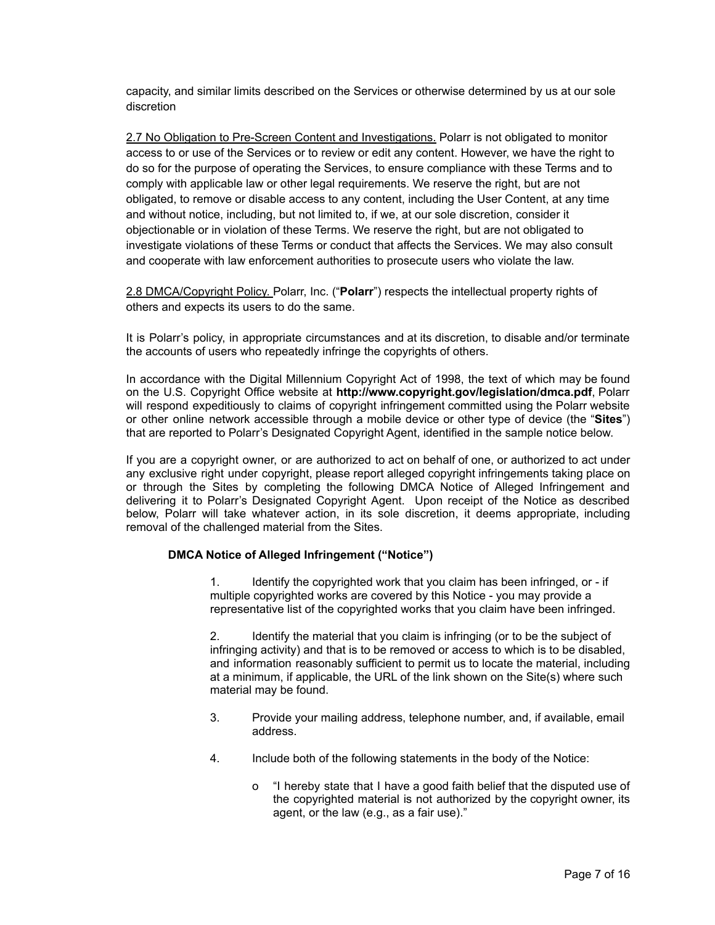capacity, and similar limits described on the Services or otherwise determined by us at our sole discretion

2.7 No Obligation to Pre-Screen Content and Investigations. Polarr is not obligated to monitor access to or use of the Services or to review or edit any content. However, we have the right to do so for the purpose of operating the Services, to ensure compliance with these Terms and to comply with applicable law or other legal requirements. We reserve the right, but are not obligated, to remove or disable access to any content, including the User Content, at any time and without notice, including, but not limited to, if we, at our sole discretion, consider it objectionable or in violation of these Terms. We reserve the right, but are not obligated to investigate violations of these Terms or conduct that affects the Services. We may also consult and cooperate with law enforcement authorities to prosecute users who violate the law.

2.8 DMCA/Copyright Policy. Polarr, Inc. ("**Polarr**") respects the intellectual property rights of others and expects its users to do the same.

It is Polarr's policy, in appropriate circumstances and at its discretion, to disable and/or terminate the accounts of users who repeatedly infringe the copyrights of others.

In accordance with the Digital Millennium Copyright Act of 1998, the text of which may be found on the U.S. Copyright Office website at **http://www.copyright.gov/legislation/dmca.pdf**, Polarr will respond expeditiously to claims of copyright infringement committed using the Polarr website or other online network accessible through a mobile device or other type of device (the "**Sites**") that are reported to Polarr's Designated Copyright Agent, identified in the sample notice below.

If you are a copyright owner, or are authorized to act on behalf of one, or authorized to act under any exclusive right under copyright, please report alleged copyright infringements taking place on or through the Sites by completing the following DMCA Notice of Alleged Infringement and delivering it to Polarr's Designated Copyright Agent. Upon receipt of the Notice as described below, Polarr will take whatever action, in its sole discretion, it deems appropriate, including removal of the challenged material from the Sites.

#### **DMCA Notice of Alleged Infringement ("Notice")**

1. Identify the copyrighted work that you claim has been infringed, or - if multiple copyrighted works are covered by this Notice - you may provide a representative list of the copyrighted works that you claim have been infringed.

2. Identify the material that you claim is infringing (or to be the subject of infringing activity) and that is to be removed or access to which is to be disabled, and information reasonably sufficient to permit us to locate the material, including at a minimum, if applicable, the URL of the link shown on the Site(s) where such material may be found.

- 3. Provide your mailing address, telephone number, and, if available, email address.
- 4. Include both of the following statements in the body of the Notice:
	- o "I hereby state that I have a good faith belief that the disputed use of the copyrighted material is not authorized by the copyright owner, its agent, or the law (e.g., as a fair use)."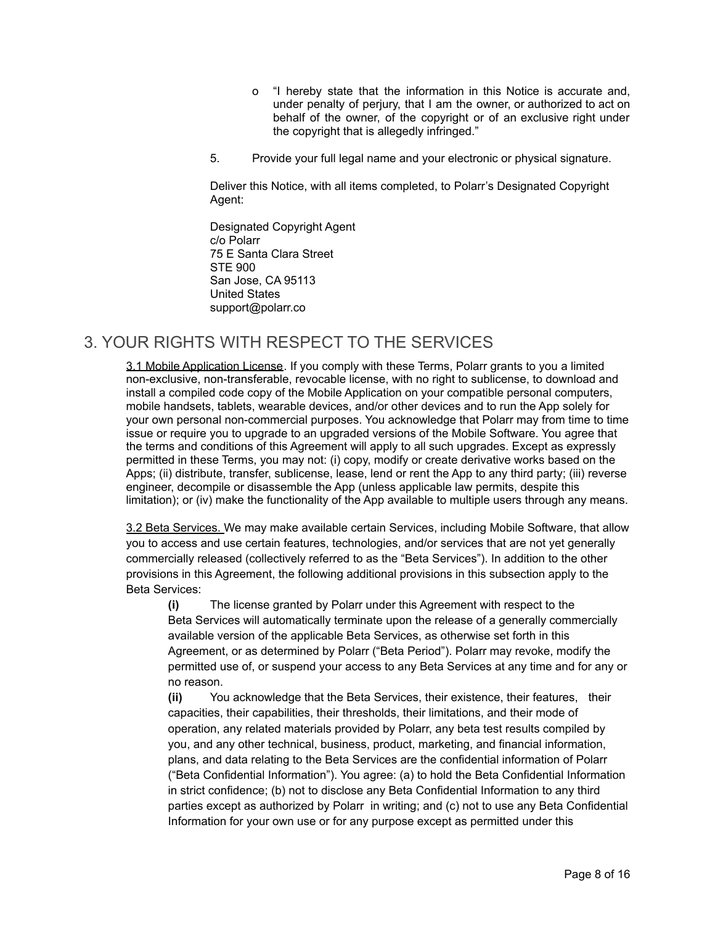- o "I hereby state that the information in this Notice is accurate and, under penalty of perjury, that I am the owner, or authorized to act on behalf of the owner, of the copyright or of an exclusive right under the copyright that is allegedly infringed."
- 5. Provide your full legal name and your electronic or physical signature.

Deliver this Notice, with all items completed, to Polarr's Designated Copyright Agent:

Designated Copyright Agent c/o Polarr 75 E Santa Clara Street STE 900 San Jose, CA 95113 United States support@polarr.co

## 3. YOUR RIGHTS WITH RESPECT TO THE SERVICES

3.1 Mobile Application License. If you comply with these Terms, Polarr grants to you a limited non-exclusive, non-transferable, revocable license, with no right to sublicense, to download and install a compiled code copy of the Mobile Application on your compatible personal computers, mobile handsets, tablets, wearable devices, and/or other devices and to run the App solely for your own personal non-commercial purposes. You acknowledge that Polarr may from time to time issue or require you to upgrade to an upgraded versions of the Mobile Software. You agree that the terms and conditions of this Agreement will apply to all such upgrades. Except as expressly permitted in these Terms, you may not: (i) copy, modify or create derivative works based on the Apps; (ii) distribute, transfer, sublicense, lease, lend or rent the App to any third party; (iii) reverse engineer, decompile or disassemble the App (unless applicable law permits, despite this limitation); or (iv) make the functionality of the App available to multiple users through any means.

3.2 Beta Services. We may make available certain Services, including Mobile Software, that allow you to access and use certain features, technologies, and/or services that are not yet generally commercially released (collectively referred to as the "Beta Services"). In addition to the other provisions in this Agreement, the following additional provisions in this subsection apply to the Beta Services:

**(i)** The license granted by Polarr under this Agreement with respect to the Beta Services will automatically terminate upon the release of a generally commercially available version of the applicable Beta Services, as otherwise set forth in this Agreement, or as determined by Polarr ("Beta Period"). Polarr may revoke, modify the permitted use of, or suspend your access to any Beta Services at any time and for any or no reason.

**(ii)** You acknowledge that the Beta Services, their existence, their features, their capacities, their capabilities, their thresholds, their limitations, and their mode of operation, any related materials provided by Polarr, any beta test results compiled by you, and any other technical, business, product, marketing, and financial information, plans, and data relating to the Beta Services are the confidential information of Polarr ("Beta Confidential Information"). You agree: (a) to hold the Beta Confidential Information in strict confidence; (b) not to disclose any Beta Confidential Information to any third parties except as authorized by Polarr in writing; and (c) not to use any Beta Confidential Information for your own use or for any purpose except as permitted under this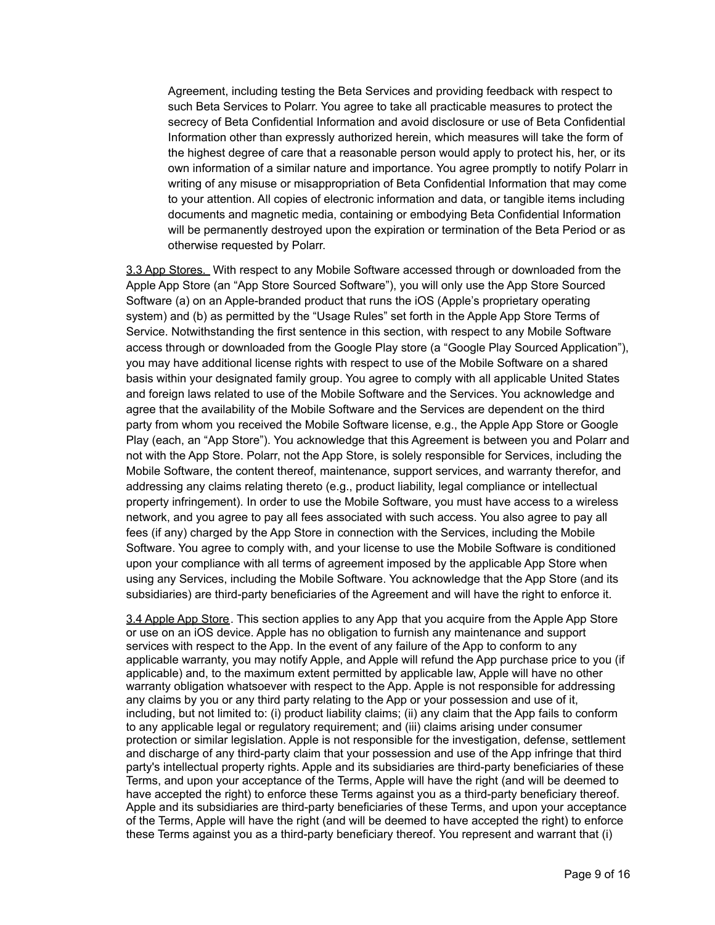Agreement, including testing the Beta Services and providing feedback with respect to such Beta Services to Polarr. You agree to take all practicable measures to protect the secrecy of Beta Confidential Information and avoid disclosure or use of Beta Confidential Information other than expressly authorized herein, which measures will take the form of the highest degree of care that a reasonable person would apply to protect his, her, or its own information of a similar nature and importance. You agree promptly to notify Polarr in writing of any misuse or misappropriation of Beta Confidential Information that may come to your attention. All copies of electronic information and data, or tangible items including documents and magnetic media, containing or embodying Beta Confidential Information will be permanently destroyed upon the expiration or termination of the Beta Period or as otherwise requested by Polarr.

3.3 App Stores. With respect to any Mobile Software accessed through or downloaded from the Apple App Store (an "App Store Sourced Software"), you will only use the App Store Sourced Software (a) on an Apple-branded product that runs the iOS (Apple's proprietary operating system) and (b) as permitted by the "Usage Rules" set forth in the Apple App Store Terms of Service. Notwithstanding the first sentence in this section, with respect to any Mobile Software access through or downloaded from the Google Play store (a "Google Play Sourced Application"), you may have additional license rights with respect to use of the Mobile Software on a shared basis within your designated family group. You agree to comply with all applicable United States and foreign laws related to use of the Mobile Software and the Services. You acknowledge and agree that the availability of the Mobile Software and the Services are dependent on the third party from whom you received the Mobile Software license, e.g., the Apple App Store or Google Play (each, an "App Store"). You acknowledge that this Agreement is between you and Polarr and not with the App Store. Polarr, not the App Store, is solely responsible for Services, including the Mobile Software, the content thereof, maintenance, support services, and warranty therefor, and addressing any claims relating thereto (e.g., product liability, legal compliance or intellectual property infringement). In order to use the Mobile Software, you must have access to a wireless network, and you agree to pay all fees associated with such access. You also agree to pay all fees (if any) charged by the App Store in connection with the Services, including the Mobile Software. You agree to comply with, and your license to use the Mobile Software is conditioned upon your compliance with all terms of agreement imposed by the applicable App Store when using any Services, including the Mobile Software. You acknowledge that the App Store (and its subsidiaries) are third-party beneficiaries of the Agreement and will have the right to enforce it.

3.4 Apple App Store. This section applies to any App that you acquire from the Apple App Store or use on an iOS device. Apple has no obligation to furnish any maintenance and support services with respect to the App. In the event of any failure of the App to conform to any applicable warranty, you may notify Apple, and Apple will refund the App purchase price to you (if applicable) and, to the maximum extent permitted by applicable law, Apple will have no other warranty obligation whatsoever with respect to the App. Apple is not responsible for addressing any claims by you or any third party relating to the App or your possession and use of it, including, but not limited to: (i) product liability claims; (ii) any claim that the App fails to conform to any applicable legal or regulatory requirement; and (iii) claims arising under consumer protection or similar legislation. Apple is not responsible for the investigation, defense, settlement and discharge of any third-party claim that your possession and use of the App infringe that third party's intellectual property rights. Apple and its subsidiaries are third-party beneficiaries of these Terms, and upon your acceptance of the Terms, Apple will have the right (and will be deemed to have accepted the right) to enforce these Terms against you as a third-party beneficiary thereof. Apple and its subsidiaries are third-party beneficiaries of these Terms, and upon your acceptance of the Terms, Apple will have the right (and will be deemed to have accepted the right) to enforce these Terms against you as a third-party beneficiary thereof. You represent and warrant that (i)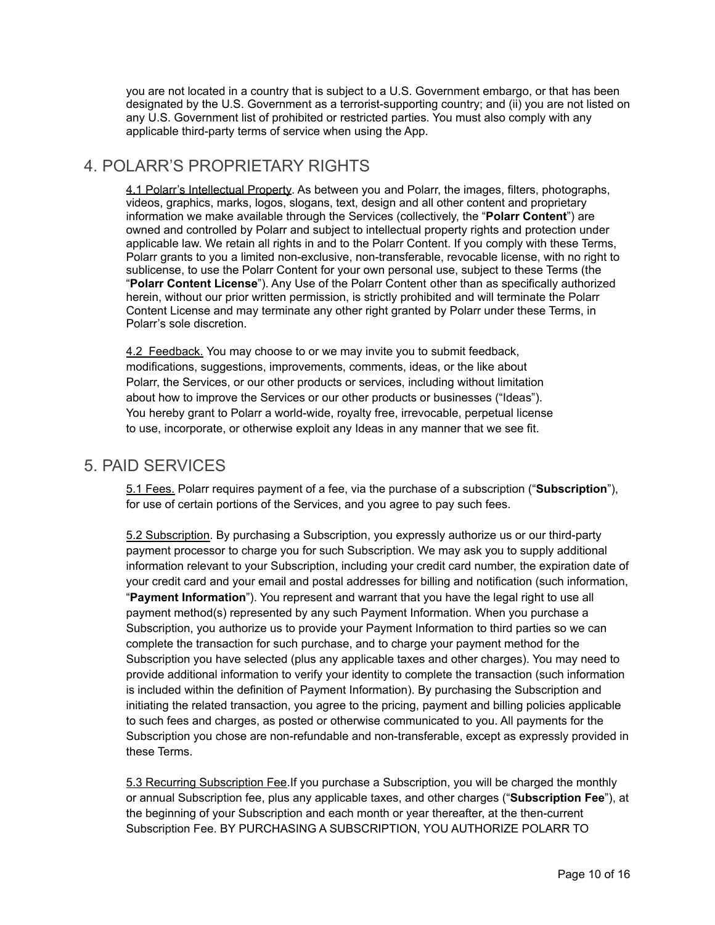you are not located in a country that is subject to a U.S. Government embargo, or that has been designated by the U.S. Government as a terrorist-supporting country; and (ii) you are not listed on any U.S. Government list of prohibited or restricted parties. You must also comply with any applicable third-party terms of service when using the App.

## 4. POLARR'S PROPRIETARY RIGHTS

4.1 Polarr's Intellectual Property. As between you and Polarr, the images, filters, photographs, videos, graphics, marks, logos, slogans, text, design and all other content and proprietary information we make available through the Services (collectively, the "**Polarr Content**") are owned and controlled by Polarr and subject to intellectual property rights and protection under applicable law. We retain all rights in and to the Polarr Content. If you comply with these Terms, Polarr grants to you a limited non-exclusive, non-transferable, revocable license, with no right to sublicense, to use the Polarr Content for your own personal use, subject to these Terms (the "**Polarr Content License**"). Any Use of the Polarr Content other than as specifically authorized herein, without our prior written permission, is strictly prohibited and will terminate the Polarr Content License and may terminate any other right granted by Polarr under these Terms, in Polarr's sole discretion.

4.2 Feedback. You may choose to or we may invite you to submit feedback, modifications, suggestions, improvements, comments, ideas, or the like about Polarr, the Services, or our other products or services, including without limitation about how to improve the Services or our other products or businesses ("Ideas"). You hereby grant to Polarr a world-wide, royalty free, irrevocable, perpetual license to use, incorporate, or otherwise exploit any Ideas in any manner that we see fit.

#### 5. PAID SERVICES

5.1 Fees. Polarr requires payment of a fee, via the purchase of a subscription ("**Subscription**"), for use of certain portions of the Services, and you agree to pay such fees.

5.2 Subscription. By purchasing a Subscription, you expressly authorize us or our third-party payment processor to charge you for such Subscription. We may ask you to supply additional information relevant to your Subscription, including your credit card number, the expiration date of your credit card and your email and postal addresses for billing and notification (such information, "**Payment Information**"). You represent and warrant that you have the legal right to use all payment method(s) represented by any such Payment Information. When you purchase a Subscription, you authorize us to provide your Payment Information to third parties so we can complete the transaction for such purchase, and to charge your payment method for the Subscription you have selected (plus any applicable taxes and other charges). You may need to provide additional information to verify your identity to complete the transaction (such information is included within the definition of Payment Information). By purchasing the Subscription and initiating the related transaction, you agree to the pricing, payment and billing policies applicable to such fees and charges, as posted or otherwise communicated to you. All payments for the Subscription you chose are non-refundable and non-transferable, except as expressly provided in these Terms.

5.3 Recurring Subscription Fee.If you purchase a Subscription, you will be charged the monthly or annual Subscription fee, plus any applicable taxes, and other charges ("**Subscription Fee**"), at the beginning of your Subscription and each month or year thereafter, at the then-current Subscription Fee. BY PURCHASING A SUBSCRIPTION, YOU AUTHORIZE POLARR TO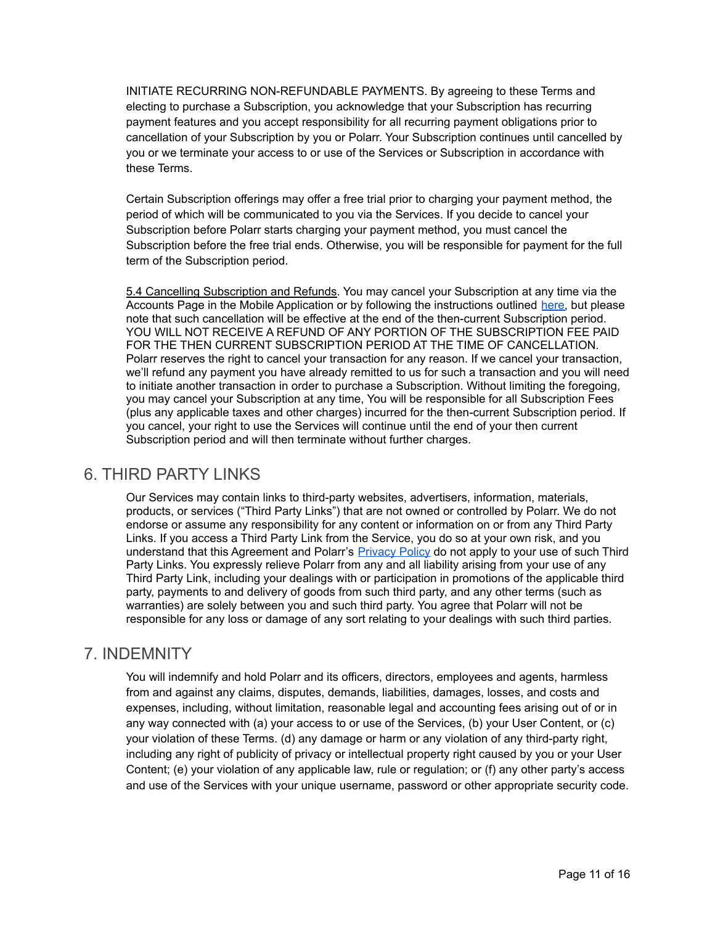INITIATE RECURRING NON-REFUNDABLE PAYMENTS. By agreeing to these Terms and electing to purchase a Subscription, you acknowledge that your Subscription has recurring payment features and you accept responsibility for all recurring payment obligations prior to cancellation of your Subscription by you or Polarr. Your Subscription continues until cancelled by you or we terminate your access to or use of the Services or Subscription in accordance with these Terms.

Certain Subscription offerings may offer a free trial prior to charging your payment method, the period of which will be communicated to you via the Services. If you decide to cancel your Subscription before Polarr starts charging your payment method, you must cancel the Subscription before the free trial ends. Otherwise, you will be responsible for payment for the full term of the Subscription period.

5.4 Cancelling Subscription and Refunds. You may cancel your Subscription at any time via the Accounts Page in the Mobile Application or by following the instructions outlined [here,](https://support.polarr.com/hc/en-us/articles/360041550632-How-do-I-cancel-my-subscription-#:~:text=For%20Credit%20Card%20and%20Debit,please%20submit%20a%20support%20ticket.) but please note that such cancellation will be effective at the end of the then-current Subscription period. YOU WILL NOT RECEIVE A REFUND OF ANY PORTION OF THE SUBSCRIPTION FEE PAID FOR THE THEN CURRENT SUBSCRIPTION PERIOD AT THE TIME OF CANCELLATION. Polarr reserves the right to cancel your transaction for any reason. If we cancel your transaction, we'll refund any payment you have already remitted to us for such a transaction and you will need to initiate another transaction in order to purchase a Subscription. Without limiting the foregoing, you may cancel your Subscription at any time, You will be responsible for all Subscription Fees (plus any applicable taxes and other charges) incurred for the then-current Subscription period. If you cancel, your right to use the Services will continue until the end of your then current Subscription period and will then terminate without further charges.

## 6. THIRD PARTY LINKS

Our Services may contain links to third-party websites, advertisers, information, materials, products, or services ("Third Party Links") that are not owned or controlled by Polarr. We do not endorse or assume any responsibility for any content or information on or from any Third Party Links. If you access a Third Party Link from the Service, you do so at your own risk, and you understand that this Agreement and Polarr's [Privacy](https://www.polarr.com/policy/privacy) Policy do not apply to your use of such Third Party Links. You expressly relieve Polarr from any and all liability arising from your use of any Third Party Link, including your dealings with or participation in promotions of the applicable third party, payments to and delivery of goods from such third party, and any other terms (such as warranties) are solely between you and such third party. You agree that Polarr will not be responsible for any loss or damage of any sort relating to your dealings with such third parties.

#### 7. INDEMNITY

You will indemnify and hold Polarr and its officers, directors, employees and agents, harmless from and against any claims, disputes, demands, liabilities, damages, losses, and costs and expenses, including, without limitation, reasonable legal and accounting fees arising out of or in any way connected with (a) your access to or use of the Services, (b) your User Content, or (c) your violation of these Terms. (d) any damage or harm or any violation of any third-party right, including any right of publicity of privacy or intellectual property right caused by you or your User Content; (e) your violation of any applicable law, rule or regulation; or (f) any other party's access and use of the Services with your unique username, password or other appropriate security code.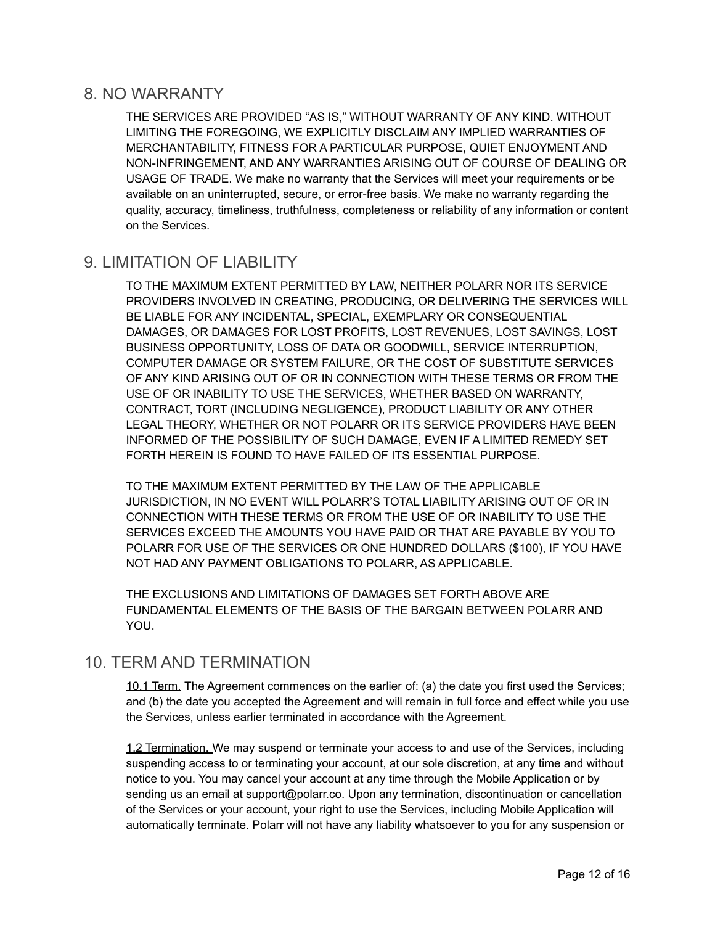#### 8. NO WARRANTY

THE SERVICES ARE PROVIDED "AS IS," WITHOUT WARRANTY OF ANY KIND. WITHOUT LIMITING THE FOREGOING, WE EXPLICITLY DISCLAIM ANY IMPLIED WARRANTIES OF MERCHANTABILITY, FITNESS FOR A PARTICULAR PURPOSE, QUIET ENJOYMENT AND NON-INFRINGEMENT, AND ANY WARRANTIES ARISING OUT OF COURSE OF DEALING OR USAGE OF TRADE. We make no warranty that the Services will meet your requirements or be available on an uninterrupted, secure, or error-free basis. We make no warranty regarding the quality, accuracy, timeliness, truthfulness, completeness or reliability of any information or content on the Services.

## 9. LIMITATION OF LIABILITY

TO THE MAXIMUM EXTENT PERMITTED BY LAW, NEITHER POLARR NOR ITS SERVICE PROVIDERS INVOLVED IN CREATING, PRODUCING, OR DELIVERING THE SERVICES WILL BE LIABLE FOR ANY INCIDENTAL, SPECIAL, EXEMPLARY OR CONSEQUENTIAL DAMAGES, OR DAMAGES FOR LOST PROFITS, LOST REVENUES, LOST SAVINGS, LOST BUSINESS OPPORTUNITY, LOSS OF DATA OR GOODWILL, SERVICE INTERRUPTION, COMPUTER DAMAGE OR SYSTEM FAILURE, OR THE COST OF SUBSTITUTE SERVICES OF ANY KIND ARISING OUT OF OR IN CONNECTION WITH THESE TERMS OR FROM THE USE OF OR INABILITY TO USE THE SERVICES, WHETHER BASED ON WARRANTY, CONTRACT, TORT (INCLUDING NEGLIGENCE), PRODUCT LIABILITY OR ANY OTHER LEGAL THEORY, WHETHER OR NOT POLARR OR ITS SERVICE PROVIDERS HAVE BEEN INFORMED OF THE POSSIBILITY OF SUCH DAMAGE, EVEN IF A LIMITED REMEDY SET FORTH HEREIN IS FOUND TO HAVE FAILED OF ITS ESSENTIAL PURPOSE.

TO THE MAXIMUM EXTENT PERMITTED BY THE LAW OF THE APPLICABLE JURISDICTION, IN NO EVENT WILL POLARR'S TOTAL LIABILITY ARISING OUT OF OR IN CONNECTION WITH THESE TERMS OR FROM THE USE OF OR INABILITY TO USE THE SERVICES EXCEED THE AMOUNTS YOU HAVE PAID OR THAT ARE PAYABLE BY YOU TO POLARR FOR USE OF THE SERVICES OR ONE HUNDRED DOLLARS (\$100), IF YOU HAVE NOT HAD ANY PAYMENT OBLIGATIONS TO POLARR, AS APPLICABLE.

THE EXCLUSIONS AND LIMITATIONS OF DAMAGES SET FORTH ABOVE ARE FUNDAMENTAL ELEMENTS OF THE BASIS OF THE BARGAIN BETWEEN POLARR AND YOU.

#### 10. TERM AND TERMINATION

10.1 Term. The Agreement commences on the earlier of: (a) the date you first used the Services; and (b) the date you accepted the Agreement and will remain in full force and effect while you use the Services, unless earlier terminated in accordance with the Agreement.

1.2 Termination. We may suspend or terminate your access to and use of the Services, including suspending access to or terminating your account, at our sole discretion, at any time and without notice to you. You may cancel your account at any time through the Mobile Application or by sending us an email at support@polarr.co. Upon any termination, discontinuation or cancellation of the Services or your account, your right to use the Services, including Mobile Application will automatically terminate. Polarr will not have any liability whatsoever to you for any suspension or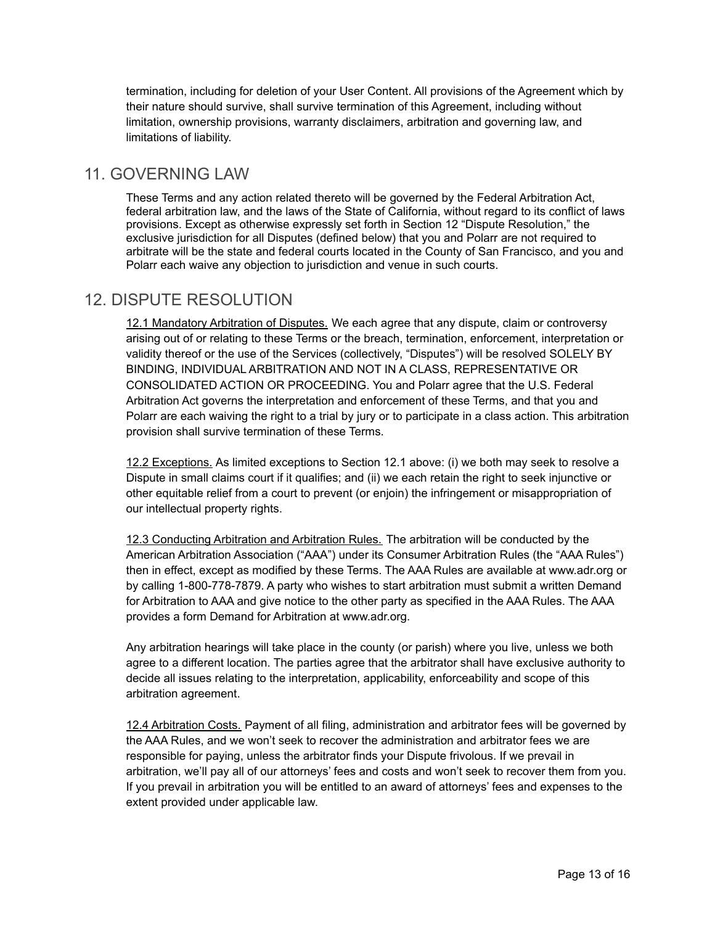termination, including for deletion of your User Content. All provisions of the Agreement which by their nature should survive, shall survive termination of this Agreement, including without limitation, ownership provisions, warranty disclaimers, arbitration and governing law, and limitations of liability.

## 11. GOVERNING LAW

These Terms and any action related thereto will be governed by the Federal Arbitration Act, federal arbitration law, and the laws of the State of California, without regard to its conflict of laws provisions. Except as otherwise expressly set forth in Section 12 "Dispute Resolution," the exclusive jurisdiction for all Disputes (defined below) that you and Polarr are not required to arbitrate will be the state and federal courts located in the County of San Francisco, and you and Polarr each waive any objection to jurisdiction and venue in such courts.

## 12. DISPUTE RESOLUTION

12.1 Mandatory Arbitration of Disputes. We each agree that any dispute, claim or controversy arising out of or relating to these Terms or the breach, termination, enforcement, interpretation or validity thereof or the use of the Services (collectively, "Disputes") will be resolved SOLELY BY BINDING, INDIVIDUAL ARBITRATION AND NOT IN A CLASS, REPRESENTATIVE OR CONSOLIDATED ACTION OR PROCEEDING. You and Polarr agree that the U.S. Federal Arbitration Act governs the interpretation and enforcement of these Terms, and that you and Polarr are each waiving the right to a trial by jury or to participate in a class action. This arbitration provision shall survive termination of these Terms.

12.2 Exceptions. As limited exceptions to Section 12.1 above: (i) we both may seek to resolve a Dispute in small claims court if it qualifies; and (ii) we each retain the right to seek injunctive or other equitable relief from a court to prevent (or enjoin) the infringement or misappropriation of our intellectual property rights.

12.3 Conducting Arbitration and Arbitration Rules. The arbitration will be conducted by the American Arbitration Association ("AAA") under its Consumer Arbitration Rules (the "AAA Rules") then in effect, except as modified by these Terms. The AAA Rules are available at www.adr.org or by calling 1-800-778-7879. A party who wishes to start arbitration must submit a written Demand for Arbitration to AAA and give notice to the other party as specified in the AAA Rules. The AAA provides a form Demand for Arbitration at www.adr.org.

Any arbitration hearings will take place in the county (or parish) where you live, unless we both agree to a different location. The parties agree that the arbitrator shall have exclusive authority to decide all issues relating to the interpretation, applicability, enforceability and scope of this arbitration agreement.

12.4 Arbitration Costs. Payment of all filing, administration and arbitrator fees will be governed by the AAA Rules, and we won't seek to recover the administration and arbitrator fees we are responsible for paying, unless the arbitrator finds your Dispute frivolous. If we prevail in arbitration, we'll pay all of our attorneys' fees and costs and won't seek to recover them from you. If you prevail in arbitration you will be entitled to an award of attorneys' fees and expenses to the extent provided under applicable law.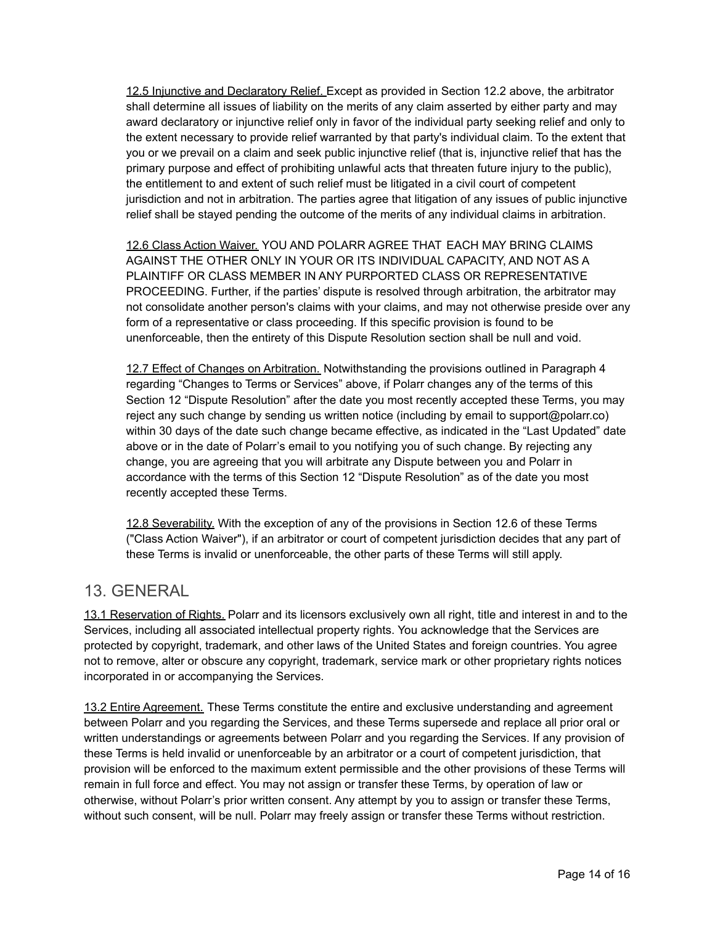12.5 Injunctive and Declaratory Relief. Except as provided in Section 12.2 above, the arbitrator shall determine all issues of liability on the merits of any claim asserted by either party and may award declaratory or injunctive relief only in favor of the individual party seeking relief and only to the extent necessary to provide relief warranted by that party's individual claim. To the extent that you or we prevail on a claim and seek public injunctive relief (that is, injunctive relief that has the primary purpose and effect of prohibiting unlawful acts that threaten future injury to the public), the entitlement to and extent of such relief must be litigated in a civil court of competent jurisdiction and not in arbitration. The parties agree that litigation of any issues of public injunctive relief shall be stayed pending the outcome of the merits of any individual claims in arbitration.

12.6 Class Action Waiver. YOU AND POLARR AGREE THAT EACH MAY BRING CLAIMS AGAINST THE OTHER ONLY IN YOUR OR ITS INDIVIDUAL CAPACITY, AND NOT AS A PLAINTIFF OR CLASS MEMBER IN ANY PURPORTED CLASS OR REPRESENTATIVE PROCEEDING. Further, if the parties' dispute is resolved through arbitration, the arbitrator may not consolidate another person's claims with your claims, and may not otherwise preside over any form of a representative or class proceeding. If this specific provision is found to be unenforceable, then the entirety of this Dispute Resolution section shall be null and void.

12.7 Effect of Changes on Arbitration. Notwithstanding the provisions outlined in Paragraph 4 regarding "Changes to Terms or Services" above, if Polarr changes any of the terms of this Section 12 "Dispute Resolution" after the date you most recently accepted these Terms, you may reject any such change by sending us written notice (including by email to support@polarr.co) within 30 days of the date such change became effective, as indicated in the "Last Updated" date above or in the date of Polarr's email to you notifying you of such change. By rejecting any change, you are agreeing that you will arbitrate any Dispute between you and Polarr in accordance with the terms of this Section 12 "Dispute Resolution" as of the date you most recently accepted these Terms.

12.8 Severability. With the exception of any of the provisions in Section 12.6 of these Terms ("Class Action Waiver"), if an arbitrator or court of competent jurisdiction decides that any part of these Terms is invalid or unenforceable, the other parts of these Terms will still apply.

#### 13. GENERAL

13.1 Reservation of Rights. Polarr and its licensors exclusively own all right, title and interest in and to the Services, including all associated intellectual property rights. You acknowledge that the Services are protected by copyright, trademark, and other laws of the United States and foreign countries. You agree not to remove, alter or obscure any copyright, trademark, service mark or other proprietary rights notices incorporated in or accompanying the Services.

13.2 Entire Agreement. These Terms constitute the entire and exclusive understanding and agreement between Polarr and you regarding the Services, and these Terms supersede and replace all prior oral or written understandings or agreements between Polarr and you regarding the Services. If any provision of these Terms is held invalid or unenforceable by an arbitrator or a court of competent jurisdiction, that provision will be enforced to the maximum extent permissible and the other provisions of these Terms will remain in full force and effect. You may not assign or transfer these Terms, by operation of law or otherwise, without Polarr's prior written consent. Any attempt by you to assign or transfer these Terms, without such consent, will be null. Polarr may freely assign or transfer these Terms without restriction.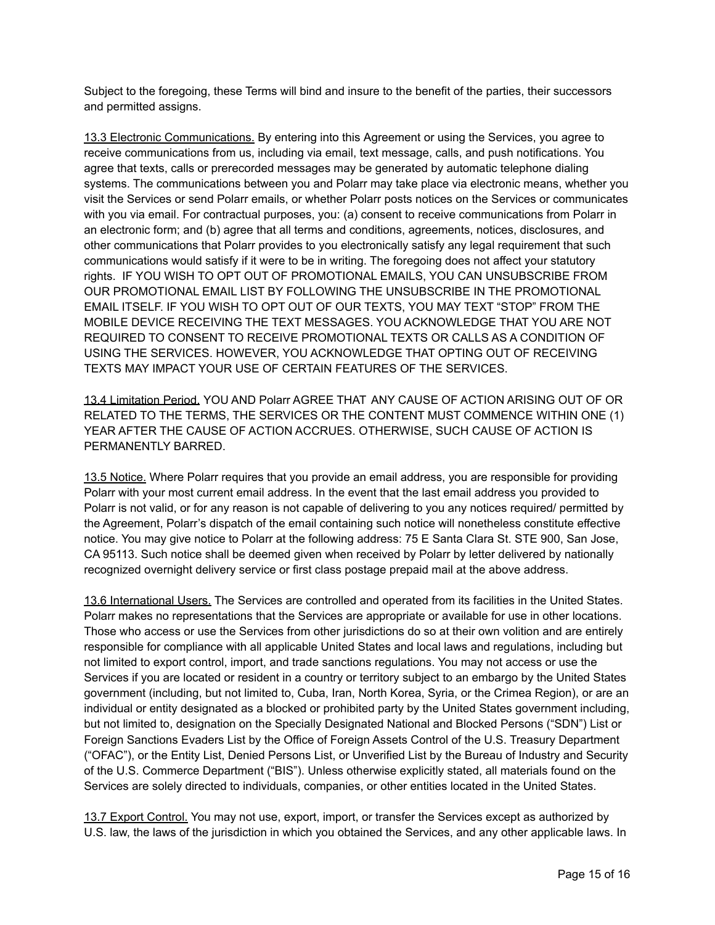Subject to the foregoing, these Terms will bind and insure to the benefit of the parties, their successors and permitted assigns.

13.3 Electronic Communications. By entering into this Agreement or using the Services, you agree to receive communications from us, including via email, text message, calls, and push notifications. You agree that texts, calls or prerecorded messages may be generated by automatic telephone dialing systems. The communications between you and Polarr may take place via electronic means, whether you visit the Services or send Polarr emails, or whether Polarr posts notices on the Services or communicates with you via email. For contractual purposes, you: (a) consent to receive communications from Polarr in an electronic form; and (b) agree that all terms and conditions, agreements, notices, disclosures, and other communications that Polarr provides to you electronically satisfy any legal requirement that such communications would satisfy if it were to be in writing. The foregoing does not affect your statutory rights. IF YOU WISH TO OPT OUT OF PROMOTIONAL EMAILS, YOU CAN UNSUBSCRIBE FROM OUR PROMOTIONAL EMAIL LIST BY FOLLOWING THE UNSUBSCRIBE IN THE PROMOTIONAL EMAIL ITSELF. IF YOU WISH TO OPT OUT OF OUR TEXTS, YOU MAY TEXT "STOP" FROM THE MOBILE DEVICE RECEIVING THE TEXT MESSAGES. YOU ACKNOWLEDGE THAT YOU ARE NOT REQUIRED TO CONSENT TO RECEIVE PROMOTIONAL TEXTS OR CALLS AS A CONDITION OF USING THE SERVICES. HOWEVER, YOU ACKNOWLEDGE THAT OPTING OUT OF RECEIVING TEXTS MAY IMPACT YOUR USE OF CERTAIN FEATURES OF THE SERVICES.

13.4 Limitation Period. YOU AND Polarr AGREE THAT ANY CAUSE OF ACTION ARISING OUT OF OR RELATED TO THE TERMS, THE SERVICES OR THE CONTENT MUST COMMENCE WITHIN ONE (1) YEAR AFTER THE CAUSE OF ACTION ACCRUES. OTHERWISE, SUCH CAUSE OF ACTION IS PERMANENTLY BARRED.

13.5 Notice. Where Polarr requires that you provide an email address, you are responsible for providing Polarr with your most current email address. In the event that the last email address you provided to Polarr is not valid, or for any reason is not capable of delivering to you any notices required/ permitted by the Agreement, Polarr's dispatch of the email containing such notice will nonetheless constitute effective notice. You may give notice to Polarr at the following address: 75 E Santa Clara St. STE 900, San Jose, CA 95113. Such notice shall be deemed given when received by Polarr by letter delivered by nationally recognized overnight delivery service or first class postage prepaid mail at the above address.

13.6 International Users. The Services are controlled and operated from its facilities in the United States. Polarr makes no representations that the Services are appropriate or available for use in other locations. Those who access or use the Services from other jurisdictions do so at their own volition and are entirely responsible for compliance with all applicable United States and local laws and regulations, including but not limited to export control, import, and trade sanctions regulations. You may not access or use the Services if you are located or resident in a country or territory subject to an embargo by the United States government (including, but not limited to, Cuba, Iran, North Korea, Syria, or the Crimea Region), or are an individual or entity designated as a blocked or prohibited party by the United States government including, but not limited to, designation on the Specially Designated National and Blocked Persons ("SDN") List or Foreign Sanctions Evaders List by the Office of Foreign Assets Control of the U.S. Treasury Department ("OFAC"), or the Entity List, Denied Persons List, or Unverified List by the Bureau of Industry and Security of the U.S. Commerce Department ("BIS"). Unless otherwise explicitly stated, all materials found on the Services are solely directed to individuals, companies, or other entities located in the United States.

13.7 Export Control. You may not use, export, import, or transfer the Services except as authorized by U.S. law, the laws of the jurisdiction in which you obtained the Services, and any other applicable laws. In